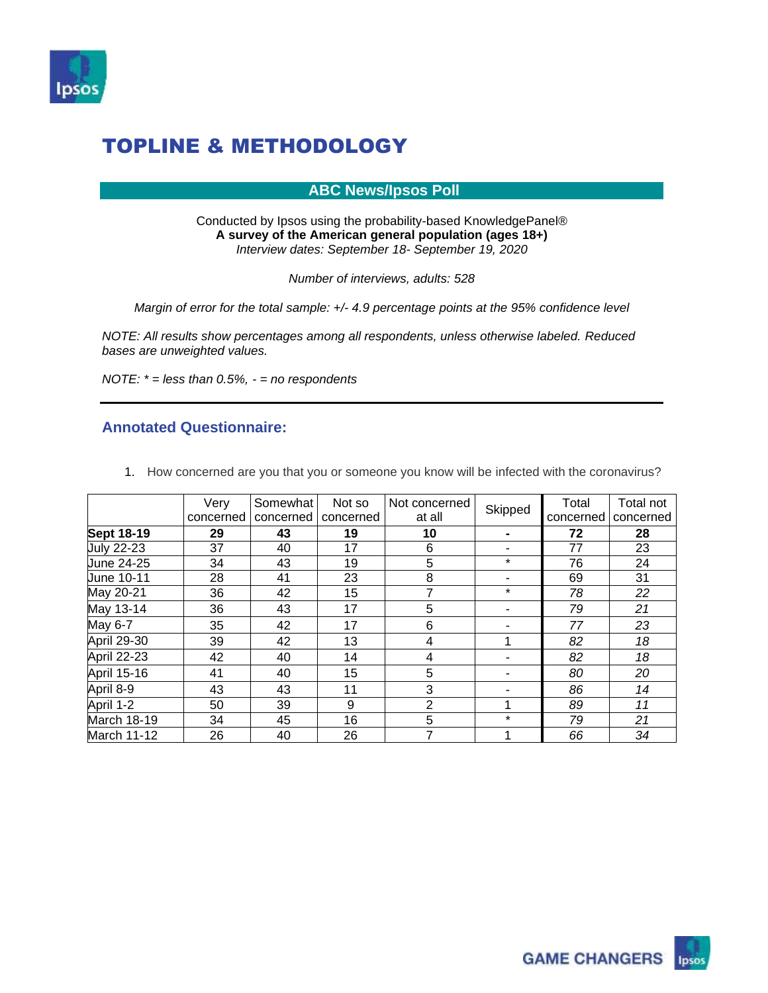

#### **ABC News/Ipsos Poll**

Conducted by Ipsos using the probability-based KnowledgePanel® **A survey of the American general population (ages 18+)**  *Interview dates: September 18- September 19, 2020*

*Number of interviews, adults: 528*

*Margin of error for the total sample: +/- 4.9 percentage points at the 95% confidence level*

*NOTE: All results show percentages among all respondents, unless otherwise labeled. Reduced bases are unweighted values.*

*NOTE: \* = less than 0.5%, - = no respondents*

#### **Annotated Questionnaire:**

1. How concerned are you that you or someone you know will be infected with the coronavirus?

|                    | Very      | Somewhat  | Not so    | Not concerned<br>at all | Skipped | Total     | Total not |
|--------------------|-----------|-----------|-----------|-------------------------|---------|-----------|-----------|
|                    | concerned | concerned | concerned |                         |         | concerned | concerned |
| <b>Sept 18-19</b>  | 29        | 43        | 19        | 10                      |         | 72        | 28        |
| <b>July 22-23</b>  | 37        | 40        | 17        | 6                       | ۰       | 77        | 23        |
| June 24-25         | 34        | 43        | 19        | 5                       | $\star$ | 76        | 24        |
| June 10-11         | 28        | 41        | 23        | 8                       |         | 69        | 31        |
| May 20-21          | 36        | 42        | 15        |                         | $\star$ | 78        | 22        |
| May 13-14          | 36        | 43        | 17        | 5                       |         | 79        | 21        |
| May 6-7            | 35        | 42        | 17        | 6                       |         | 77        | 23        |
| April 29-30        | 39        | 42        | 13        | 4                       |         | 82        | 18        |
| April 22-23        | 42        | 40        | 14        | 4                       |         | 82        | 18        |
| April 15-16        | 41        | 40        | 15        | 5                       |         | 80        | 20        |
| April 8-9          | 43        | 43        | 11        | 3                       |         | 86        | 14        |
| April 1-2          | 50        | 39        | 9         | $\overline{2}$          |         | 89        | 11        |
| March 18-19        | 34        | 45        | 16        | 5                       | $\star$ | 79        | 21        |
| <b>March 11-12</b> | 26        | 40        | 26        | 7                       |         | 66        | 34        |

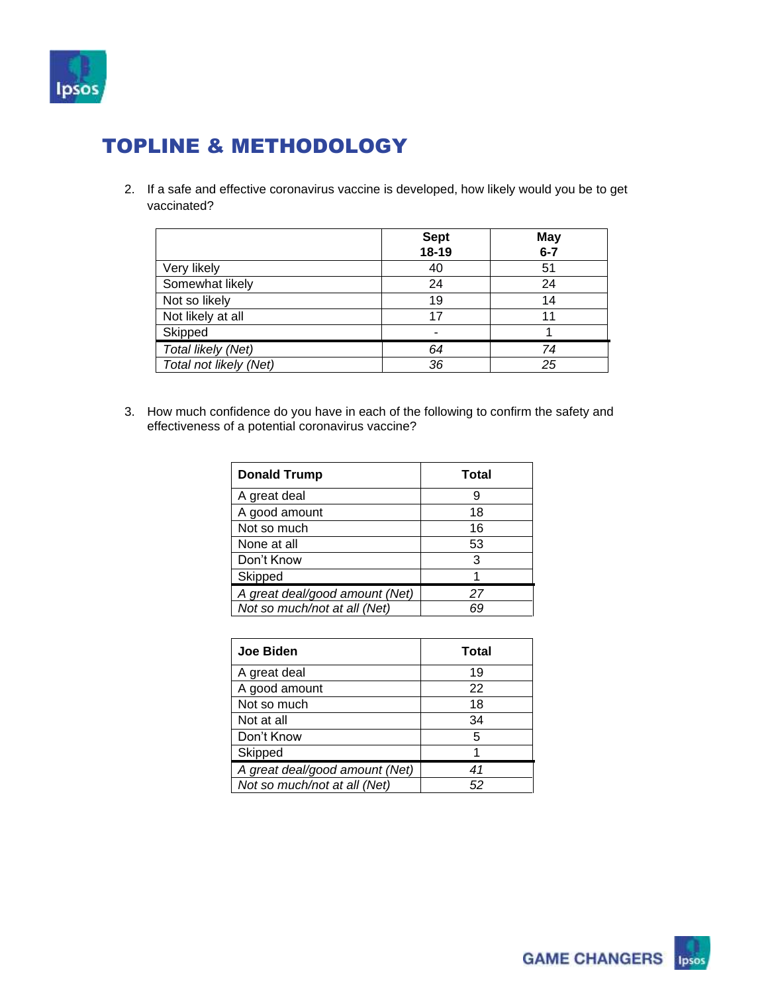

2. If a safe and effective coronavirus vaccine is developed, how likely would you be to get vaccinated?

|                        | <b>Sept</b> | <b>May</b> |
|------------------------|-------------|------------|
|                        | 18-19       | $6 - 7$    |
| Very likely            | 40          | 51         |
| Somewhat likely        | 24          | 24         |
| Not so likely          | 19          | 14         |
| Not likely at all      | 17          | 11         |
| Skipped                |             |            |
| Total likely (Net)     | 64          | 74         |
| Total not likely (Net) | 36          | 25         |

3. How much confidence do you have in each of the following to confirm the safety and effectiveness of a potential coronavirus vaccine?

| <b>Donald Trump</b>            | <b>Total</b> |
|--------------------------------|--------------|
| A great deal                   | q            |
| A good amount                  | 18           |
| Not so much                    | 16           |
| None at all                    | 53           |
| Don't Know                     | 3            |
| Skipped                        |              |
| A great deal/good amount (Net) | 27           |
| Not so much/not at all (Net)   | ĥС           |

| <b>Joe Biden</b>               | Total |
|--------------------------------|-------|
| A great deal                   | 19    |
| A good amount                  | 22    |
| Not so much                    | 18    |
| Not at all                     | 34    |
| Don't Know                     | 5     |
| Skipped                        |       |
| A great deal/good amount (Net) | 41    |
| Not so much/not at all (Net)   | 52    |

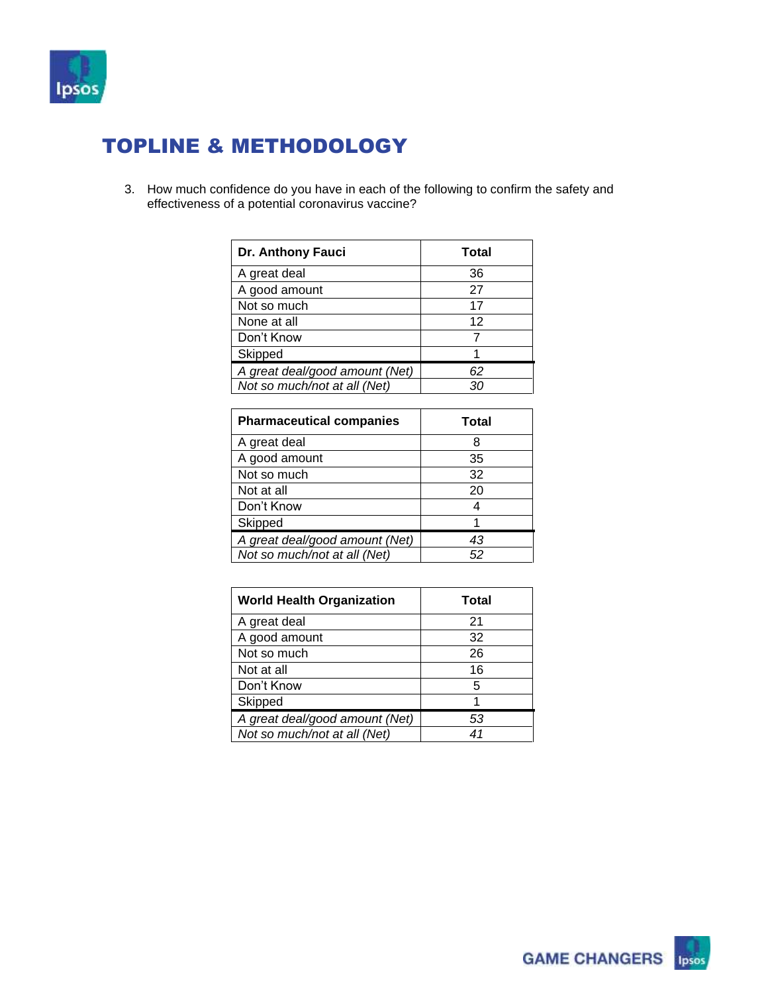

3. How much confidence do you have in each of the following to confirm the safety and effectiveness of a potential coronavirus vaccine?

| Dr. Anthony Fauci              | Total |
|--------------------------------|-------|
| A great deal                   | 36    |
| A good amount                  | 27    |
| Not so much                    | 17    |
| None at all                    | 12    |
| Don't Know                     |       |
| Skipped                        |       |
| A great deal/good amount (Net) | 62    |
| Not so much/not at all (Net)   | 30    |

| <b>Pharmaceutical companies</b> | Total |
|---------------------------------|-------|
| A great deal                    | 8     |
| A good amount                   | 35    |
| Not so much                     | 32    |
| Not at all                      | 20    |
| Don't Know                      |       |
| Skipped                         |       |
| A great deal/good amount (Net)  | 43    |
| Not so much/not at all (Net)    | 52    |

| <b>World Health Organization</b> | Total |
|----------------------------------|-------|
| A great deal                     | 21    |
| A good amount                    | 32    |
| Not so much                      | 26    |
| Not at all                       | 16    |
| Don't Know                       | 5     |
| Skipped                          |       |
| A great deal/good amount (Net)   | 53    |
| Not so much/not at all (Net)     | 41    |

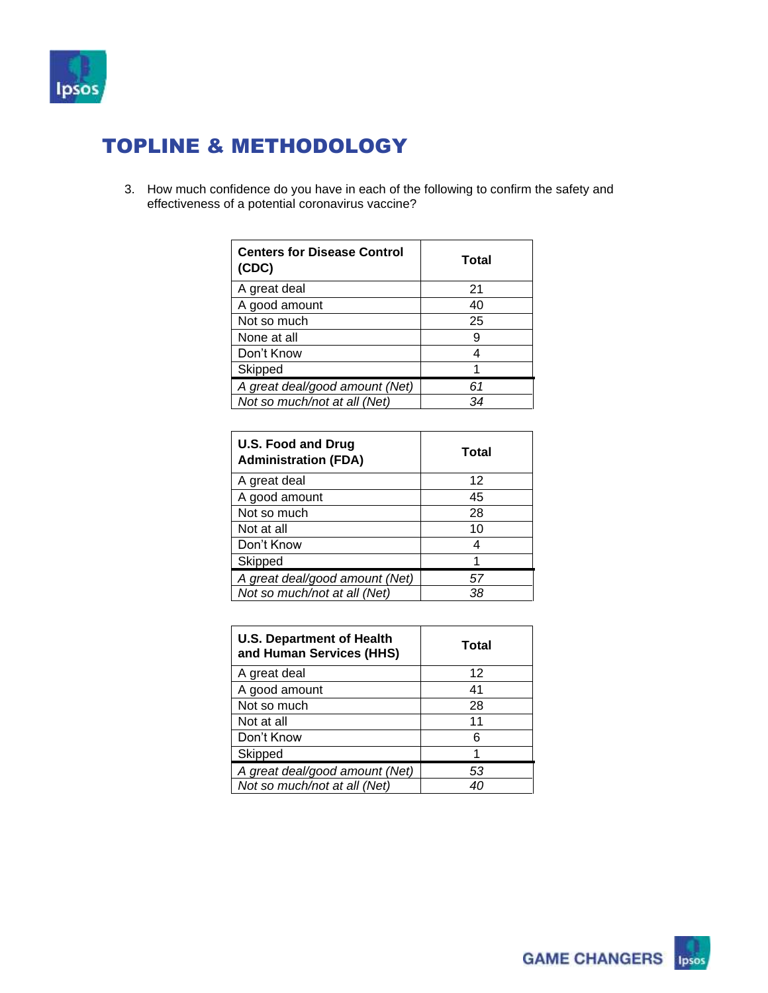

3. How much confidence do you have in each of the following to confirm the safety and effectiveness of a potential coronavirus vaccine?

| <b>Centers for Disease Control</b><br>(CDC) | Total |
|---------------------------------------------|-------|
| A great deal                                | 21    |
| A good amount                               | 40    |
| Not so much                                 | 25    |
| None at all                                 | 9     |
| Don't Know                                  |       |
| Skipped                                     |       |
| A great deal/good amount (Net)              | 61    |
| Not so much/not at all (Net)                | 34    |

| <b>U.S. Food and Drug</b><br><b>Administration (FDA)</b> | Total |
|----------------------------------------------------------|-------|
| A great deal                                             | 12    |
| A good amount                                            | 45    |
| Not so much                                              | 28    |
| Not at all                                               | 10    |
| Don't Know                                               |       |
| Skipped                                                  |       |
| A great deal/good amount (Net)                           | 57    |
| Not so much/not at all (Net)                             | 38    |

| <b>U.S. Department of Health</b><br>and Human Services (HHS) | Total |
|--------------------------------------------------------------|-------|
| A great deal                                                 | 12    |
| A good amount                                                | 41    |
| Not so much                                                  | 28    |
| Not at all                                                   | 11    |
| Don't Know                                                   | 6     |
| Skipped                                                      | 1     |
| A great deal/good amount (Net)                               | 53    |
| Not so much/not at all (Net)                                 |       |

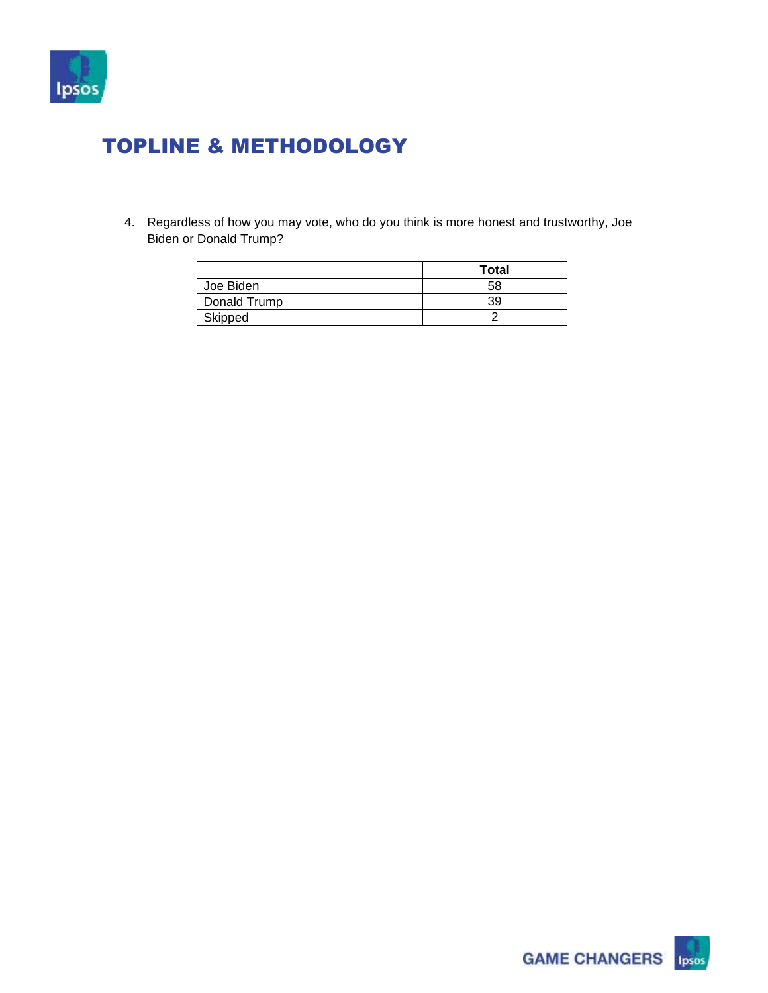

4. Regardless of how you may vote, who do you think is more honest and trustworthy, Joe Biden or Donald Trump?

|              | <b>Total</b> |
|--------------|--------------|
| Joe Biden    | 58           |
| Donald Trump | 39           |
| Skipped      |              |

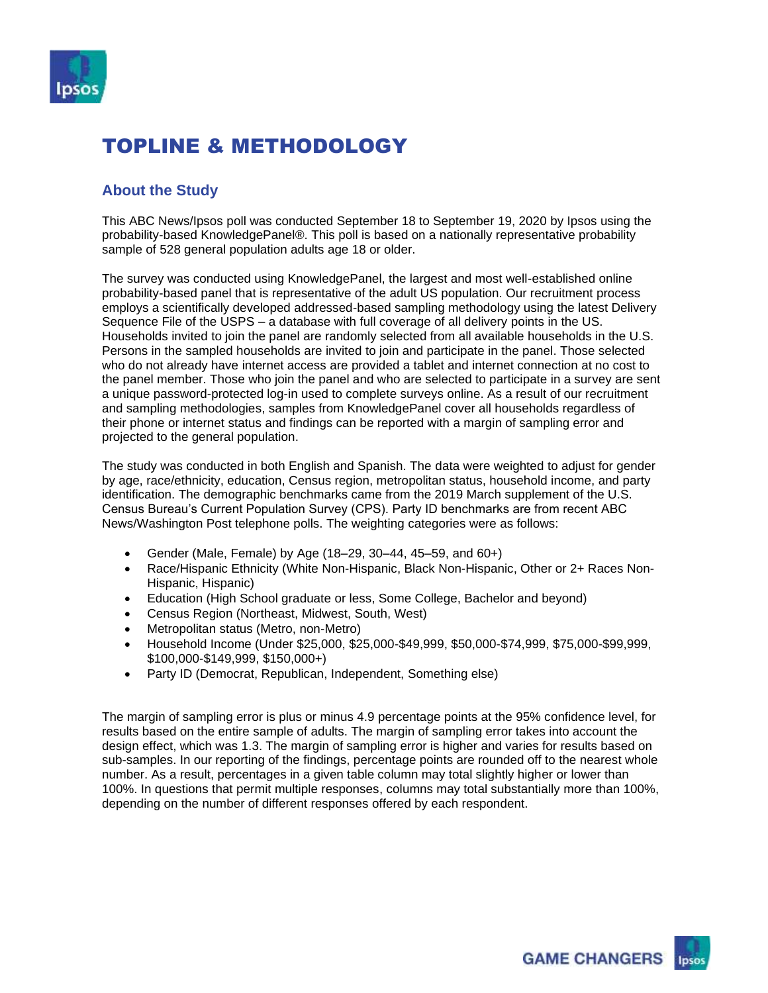

#### **About the Study**

This ABC News/Ipsos poll was conducted September 18 to September 19, 2020 by Ipsos using the probability-based KnowledgePanel®. This poll is based on a nationally representative probability sample of 528 general population adults age 18 or older.

The survey was conducted using KnowledgePanel, the largest and most well-established online probability-based panel that is representative of the adult US population. Our recruitment process employs a scientifically developed addressed-based sampling methodology using the latest Delivery Sequence File of the USPS – a database with full coverage of all delivery points in the US. Households invited to join the panel are randomly selected from all available households in the U.S. Persons in the sampled households are invited to join and participate in the panel. Those selected who do not already have internet access are provided a tablet and internet connection at no cost to the panel member. Those who join the panel and who are selected to participate in a survey are sent a unique password-protected log-in used to complete surveys online. As a result of our recruitment and sampling methodologies, samples from KnowledgePanel cover all households regardless of their phone or internet status and findings can be reported with a margin of sampling error and projected to the general population.

The study was conducted in both English and Spanish. The data were weighted to adjust for gender by age, race/ethnicity, education, Census region, metropolitan status, household income, and party identification. The demographic benchmarks came from the 2019 March supplement of the U.S. Census Bureau's Current Population Survey (CPS). Party ID benchmarks are from recent ABC News/Washington Post telephone polls. The weighting categories were as follows:

- Gender (Male, Female) by Age (18–29, 30–44, 45–59, and 60+)
- Race/Hispanic Ethnicity (White Non-Hispanic, Black Non-Hispanic, Other or 2+ Races Non-Hispanic, Hispanic)
- Education (High School graduate or less, Some College, Bachelor and beyond)
- Census Region (Northeast, Midwest, South, West)
- Metropolitan status (Metro, non-Metro)
- Household Income (Under \$25,000, \$25,000-\$49,999, \$50,000-\$74,999, \$75,000-\$99,999, \$100,000-\$149,999, \$150,000+)
- Party ID (Democrat, Republican, Independent, Something else)

The margin of sampling error is plus or minus 4.9 percentage points at the 95% confidence level, for results based on the entire sample of adults. The margin of sampling error takes into account the design effect, which was 1.3. The margin of sampling error is higher and varies for results based on sub-samples. In our reporting of the findings, percentage points are rounded off to the nearest whole number. As a result, percentages in a given table column may total slightly higher or lower than 100%. In questions that permit multiple responses, columns may total substantially more than 100%, depending on the number of different responses offered by each respondent.